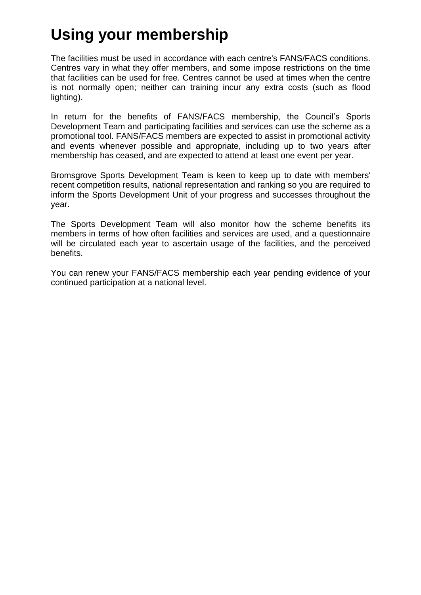## **Using your membership**

The facilities must be used in accordance with each centre's FANS/FACS conditions. Centres vary in what they offer members, and some impose restrictions on the time that facilities can be used for free. Centres cannot be used at times when the centre is not normally open; neither can training incur any extra costs (such as flood lighting).

In return for the benefits of FANS/FACS membership, the Council's Sports Development Team and participating facilities and services can use the scheme as a promotional tool. FANS/FACS members are expected to assist in promotional activity and events whenever possible and appropriate, including up to two years after membership has ceased, and are expected to attend at least one event per year.

Bromsgrove Sports Development Team is keen to keep up to date with members' recent competition results, national representation and ranking so you are required to inform the Sports Development Unit of your progress and successes throughout the year.

The Sports Development Team will also monitor how the scheme benefits its members in terms of how often facilities and services are used, and a questionnaire will be circulated each year to ascertain usage of the facilities, and the perceived benefits.

You can renew your FANS/FACS membership each year pending evidence of your continued participation at a national level.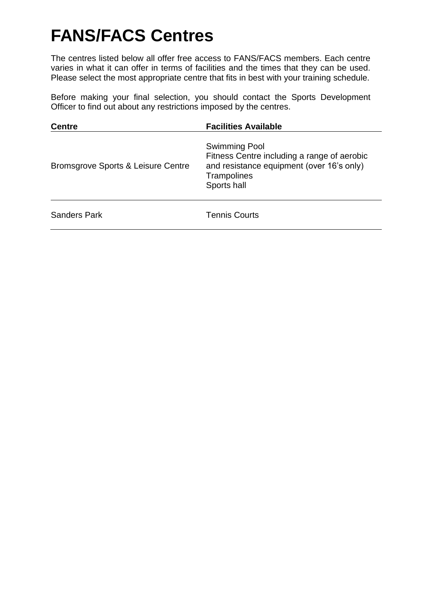# **FANS/FACS Centres**

The centres listed below all offer free access to FANS/FACS members. Each centre varies in what it can offer in terms of facilities and the times that they can be used. Please select the most appropriate centre that fits in best with your training schedule.

Before making your final selection, you should contact the Sports Development Officer to find out about any restrictions imposed by the centres.

| <b>Centre</b>                      | <b>Facilities Available</b>                                                                                                                    |
|------------------------------------|------------------------------------------------------------------------------------------------------------------------------------------------|
| Bromsgrove Sports & Leisure Centre | <b>Swimming Pool</b><br>Fitness Centre including a range of aerobic<br>and resistance equipment (over 16's only)<br>Trampolines<br>Sports hall |
| <b>Sanders Park</b>                | <b>Tennis Courts</b>                                                                                                                           |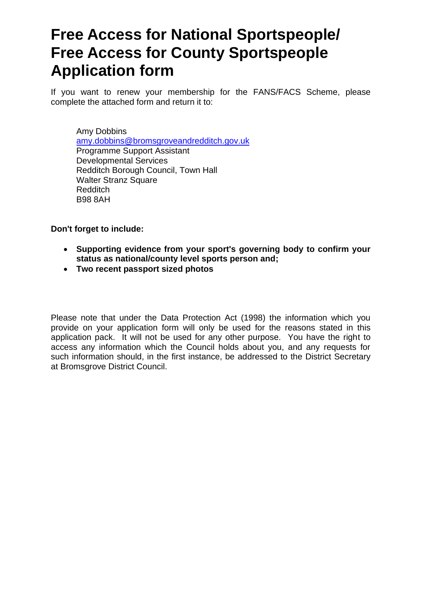### **Free Access for National Sportspeople/ Free Access for County Sportspeople Application form**

If you want to renew your membership for the FANS/FACS Scheme, please complete the attached form and return it to:

Amy Dobbins [amy.dobbins@bromsgroveandredditch.gov.uk](mailto:amy.dobbins@bromsgroveandredditch.gov.uk) Programme Support Assistant Developmental Services Redditch Borough Council, Town Hall Walter Stranz Square Redditch B98 8AH

**Don't forget to include:** 

- **Supporting evidence from your sport's governing body to confirm your status as national/county level sports person and;**
- **Two recent passport sized photos**

Please note that under the Data Protection Act (1998) the information which you provide on your application form will only be used for the reasons stated in this application pack. It will not be used for any other purpose. You have the right to access any information which the Council holds about you, and any requests for such information should, in the first instance, be addressed to the District Secretary at Bromsgrove District Council.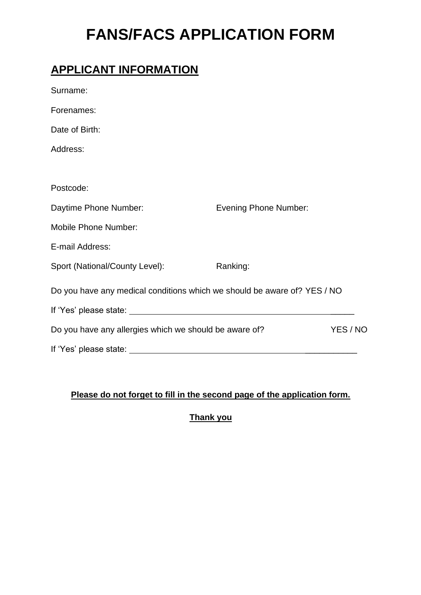## **FANS/FACS APPLICATION FORM**

#### **APPLICANT INFORMATION**

| Surname:                                                                 |                              |          |
|--------------------------------------------------------------------------|------------------------------|----------|
| Forenames:                                                               |                              |          |
| Date of Birth:                                                           |                              |          |
| Address:                                                                 |                              |          |
|                                                                          |                              |          |
| Postcode:                                                                |                              |          |
| Daytime Phone Number:                                                    | <b>Evening Phone Number:</b> |          |
| <b>Mobile Phone Number:</b>                                              |                              |          |
| E-mail Address:                                                          |                              |          |
| Sport (National/County Level):                                           | Ranking:                     |          |
| Do you have any medical conditions which we should be aware of? YES / NO |                              |          |
|                                                                          |                              |          |
| Do you have any allergies which we should be aware of?                   |                              | YES / NO |
| If 'Yes' please state:                                                   |                              |          |

#### **Please do not forget to fill in the second page of the application form.**

**Thank you**